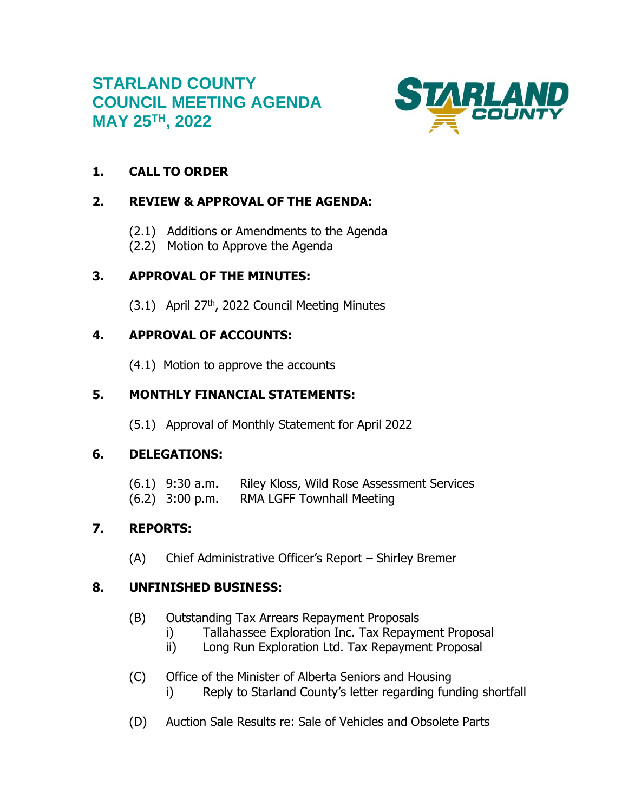# **STARLAND COUNTY COUNCIL MEETING AGENDA MAY 25TH , 2022**



# **1. CALL TO ORDER**

# **2. REVIEW & APPROVAL OF THE AGENDA:**

- (2.1) Additions or Amendments to the Agenda
- (2.2) Motion to Approve the Agenda

## **3. APPROVAL OF THE MINUTES:**

 $(3.1)$  April 27<sup>th</sup>, 2022 Council Meeting Minutes

# **4. APPROVAL OF ACCOUNTS:**

(4.1) Motion to approve the accounts

## **5. MONTHLY FINANCIAL STATEMENTS:**

(5.1) Approval of Monthly Statement for April 2022

## **6. DELEGATIONS:**

| $(6.1)$ 9:30 a.m. | Riley Kloss, Wild Rose Assessment Services |
|-------------------|--------------------------------------------|
| $(6.2)$ 3:00 p.m. | <b>RMA LGFF Townhall Meeting</b>           |

# **7. REPORTS:**

(A) Chief Administrative Officer's Report – Shirley Bremer

## **8. UNFINISHED BUSINESS:**

- (B) Outstanding Tax Arrears Repayment Proposals
	- i) Tallahassee Exploration Inc. Tax Repayment Proposal
	- ii) Long Run Exploration Ltd. Tax Repayment Proposal
- (C) Office of the Minister of Alberta Seniors and Housing i) Reply to Starland County's letter regarding funding shortfall
- (D) Auction Sale Results re: Sale of Vehicles and Obsolete Parts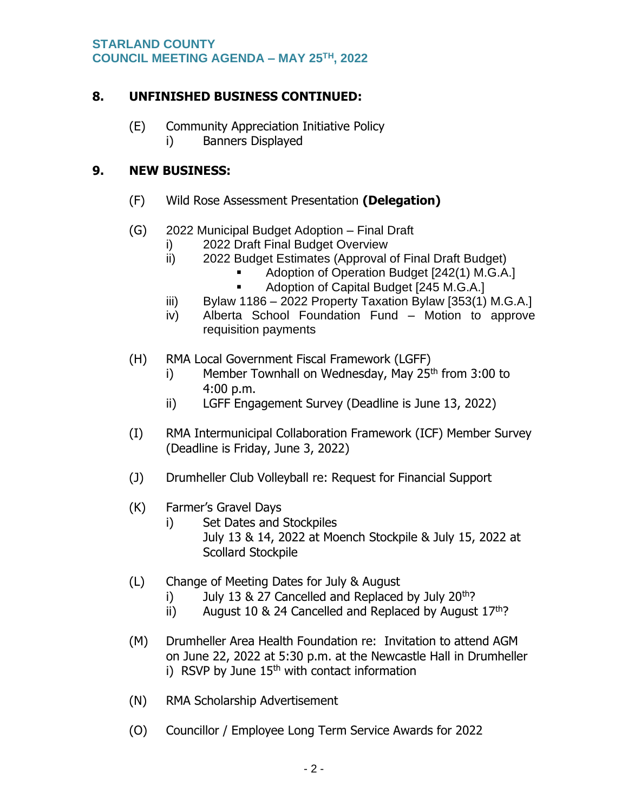## **8. UNFINISHED BUSINESS CONTINUED:**

- (E) Community Appreciation Initiative Policy
	- i) Banners Displayed

## **9. NEW BUSINESS:**

- (F) Wild Rose Assessment Presentation **(Delegation)**
- (G) 2022 Municipal Budget Adoption Final Draft
	- i) 2022 Draft Final Budget Overview
	- ii) 2022 Budget Estimates (Approval of Final Draft Budget)
		- Adoption of Operation Budget [242(1) M.G.A.]
		- Adoption of Capital Budget [245 M.G.A.]
	- iii) Bylaw 1186 2022 Property Taxation Bylaw  $[353(1)$  M.G.A.
	- iv) Alberta School Foundation Fund Motion to approve requisition payments
- (H) RMA Local Government Fiscal Framework (LGFF)
	- i) Member Townhall on Wednesday, May  $25<sup>th</sup>$  from 3:00 to 4:00 p.m.
	- ii) LGFF Engagement Survey (Deadline is June 13, 2022)
- (I) RMA Intermunicipal Collaboration Framework (ICF) Member Survey (Deadline is Friday, June 3, 2022)
- (J) Drumheller Club Volleyball re: Request for Financial Support
- (K) Farmer's Gravel Days
	- i) Set Dates and Stockpiles
		- July 13 & 14, 2022 at Moench Stockpile & July 15, 2022 at Scollard Stockpile
- (L) Change of Meeting Dates for July & August
	- i) July 13  $\&$  27 Cancelled and Replaced by July 20<sup>th</sup>?
	- ii) August 10 & 24 Cancelled and Replaced by August  $17<sup>th</sup>$ ?
- (M) Drumheller Area Health Foundation re: Invitation to attend AGM on June 22, 2022 at 5:30 p.m. at the Newcastle Hall in Drumheller i) RSVP by June  $15<sup>th</sup>$  with contact information
- (N) RMA Scholarship Advertisement
- (O) Councillor / Employee Long Term Service Awards for 2022